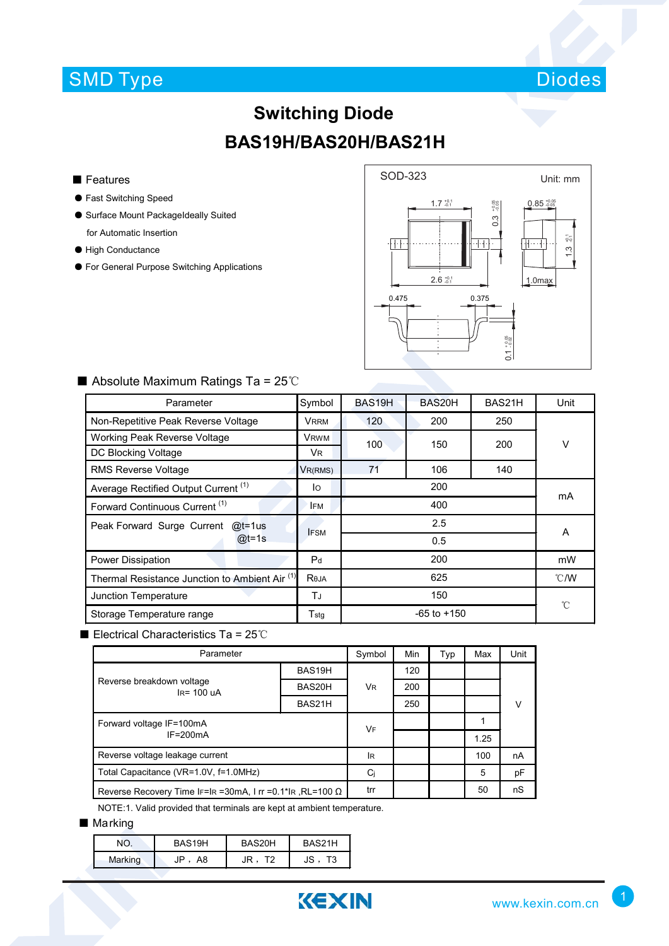## SMD Type



# **Switching Diode BAS19H/BAS20H/BAS21H**

#### ■ Features

- Fast Switching Speed
- Surface Mount PackageIdeally Suited for Automatic Insertion
- High Conductance
- For General Purpose Switching Applications



| Parameter                                       | Symbol         | BAS19H          | BAS20H     | BAS21H | Unit          |  |
|-------------------------------------------------|----------------|-----------------|------------|--------|---------------|--|
| Non-Repetitive Peak Reverse Voltage             | <b>VRRM</b>    | 120             | 200<br>250 |        |               |  |
| Working Peak Reverse Voltage                    | <b>VRWM</b>    | 100             | 150        |        | V             |  |
| DC Blocking Voltage                             | Vr.            |                 |            | 200    |               |  |
| <b>RMS Reverse Voltage</b>                      | VR(RMS)        | 71              | 106        | 140    |               |  |
| Average Rectified Output Current <sup>(1)</sup> | lo             | 200             |            |        | mA            |  |
| Forward Continuous Current <sup>(1)</sup>       | <b>IFM</b>     | 400             |            |        |               |  |
| Peak Forward Surge Current<br>@t=1us            | <b>IFSM</b>    | 2.5             |            |        | A             |  |
| $@t=1s$                                         |                |                 |            |        |               |  |
| Power Dissipation                               | P <sub>d</sub> | 200             |            |        | mW            |  |
| Thermal Resistance Junction to Ambient Air (1)  | Reja           | 625             |            |        | $\degree$ C/W |  |
| Junction Temperature                            | ТJ             | 150             |            |        | °C            |  |
| Storage Temperature range                       | Tstq           | $-65$ to $+150$ |            |        |               |  |

### ■ Absolute Maximum Ratings Ta = 25℃

■ Electrical Characteristics Ta = 25℃

| Parameter                                                          | Symbol | Min       | Typ | Max | Unit |    |
|--------------------------------------------------------------------|--------|-----------|-----|-----|------|----|
| Reverse breakdown voltage<br>$IR = 100uA$                          | BAS19H | <b>VR</b> | 120 |     |      |    |
|                                                                    | BAS20H |           | 200 |     |      |    |
|                                                                    | BAS21H |           | 250 |     |      | V  |
| Forward voltage IF=100mA                                           |        | <b>VF</b> |     |     |      |    |
| $IF = 200mA$                                                       |        |           |     |     | 1.25 |    |
| Reverse voltage leakage current                                    |        | <b>IR</b> |     |     | 100  | nA |
| Total Capacitance (VR=1.0V, f=1.0MHz)                              | Ci     |           |     | 5   | рF   |    |
| Reverse Recovery Time IF=IR = 30mA, I rr = 0.1*IR, RL=100 $\Omega$ |        | trr       |     |     | 50   | nS |

NOTE:1. Valid provided that terminals are kept at ambient temperature.

### ■ Marking

| חמ      | BAS19H   | BAS20H | RAS21H   |
|---------|----------|--------|----------|
| Marking | JP<br>A8 |        | JS<br>Г3 |